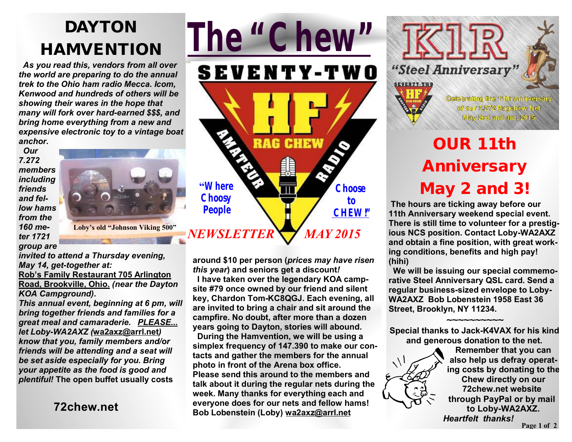## **DAYTON HAMVENTION**

 *As you read this, vendors from all over the world are preparing to do the annual trek to the Ohio ham radio Mecca. Icom, Kenwood and hundreds of others will be showing their wares in the hope that many will fork over hard-earned \$\$\$, and bring home everything from a new and expensive electronic toy to a vintage boat anchor.* 

 *Our 7.272 members including friends and fellow hams from the 160 meter 1721 group are* 



*invited to attend a Thursday evening, May 14, get-together at:*  **Rob's Family Restaurant 705 Arlington** 

**Road, Brookville, Ohio.** *(near the Dayton KOA Campground).* 

*This annual event, beginning at 6 pm, will bring together friends and families for a great meal and camaraderie. PLEASE... let Loby-WA2AXZ (***wa2axz@arrl.net***) know that you, family members and/or friends will be attending and a seat will be set aside especially for you. Bring your appetite as the food is good and plentiful!* **The open buffet usually costs**

**72chew.net**



**around \$10 per person (***prices may have risen this year***) and seniors get a discount***!*

 **I have taken over the legendary KOA campsite #79 once owned by our friend and silent key, Chardon Tom-KC8QGJ. Each evening, all are invited to bring a chair and sit around the campfire. No doubt, after more than a dozen years going to Dayton, stories will abound.** 

 **During the Hamvention, we will be using a simplex frequency of 147.390 to make our contacts and gather the members for the annual photo in front of the Arena box office. Please send this around to the members and talk about it during the regular nets during the week. Many thanks for everything each and everyone does for our nets and fellow hams! Bob Lobenstein (Loby) wa2axz@arrl.net**



# **OUR 11th Anniversary May 2 and 3***!*

**The hours are ticking away before our 11th Anniversary weekend special event. There is still time to volunteer for a prestigious NCS position. Contact Loby-WA2AXZ and obtain a fine position, with great working conditions, benefits and high pay! (hihi)** 

 **We will be issuing our special commemorative Steel Anniversary QSL card. Send a regular business-sized envelope to Loby-WA2AXZ Bob Lobenstein 1958 East 36 Street, Brooklyn, NY 11234.**

**Special thanks to Jack-K4VAX for his kind and generous donation to the net.** 

**~~~~~~~~~~** 

**Remember that you can also help us defray operating costs by donating to the Chew directly on our 72chew.net website through PayPal or by mail to Loby-WA2AXZ.**   *Heartfelt thanks!*  **Page 1 of 2**